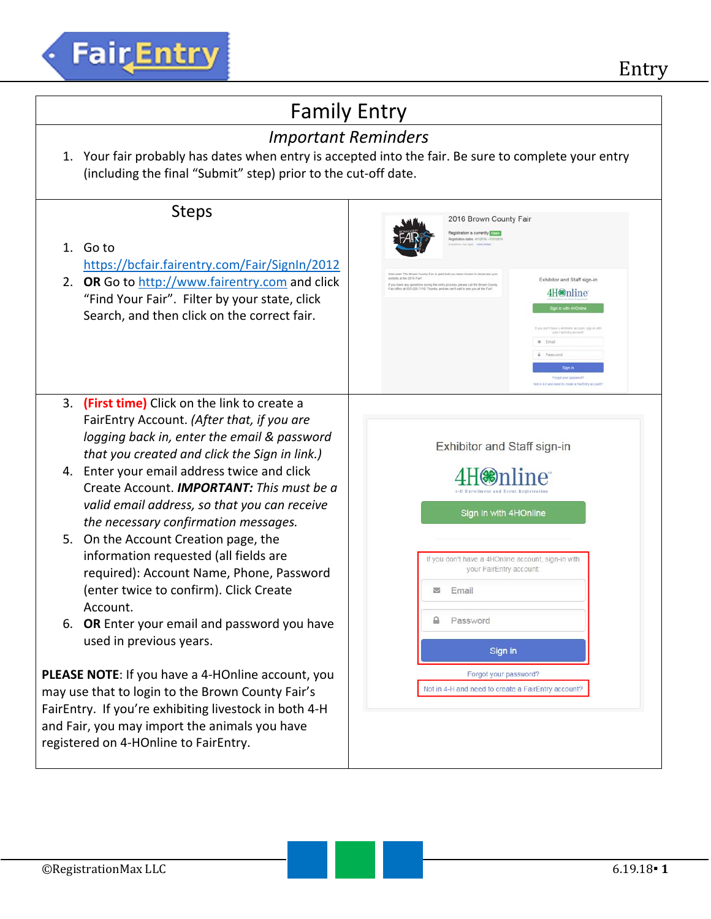

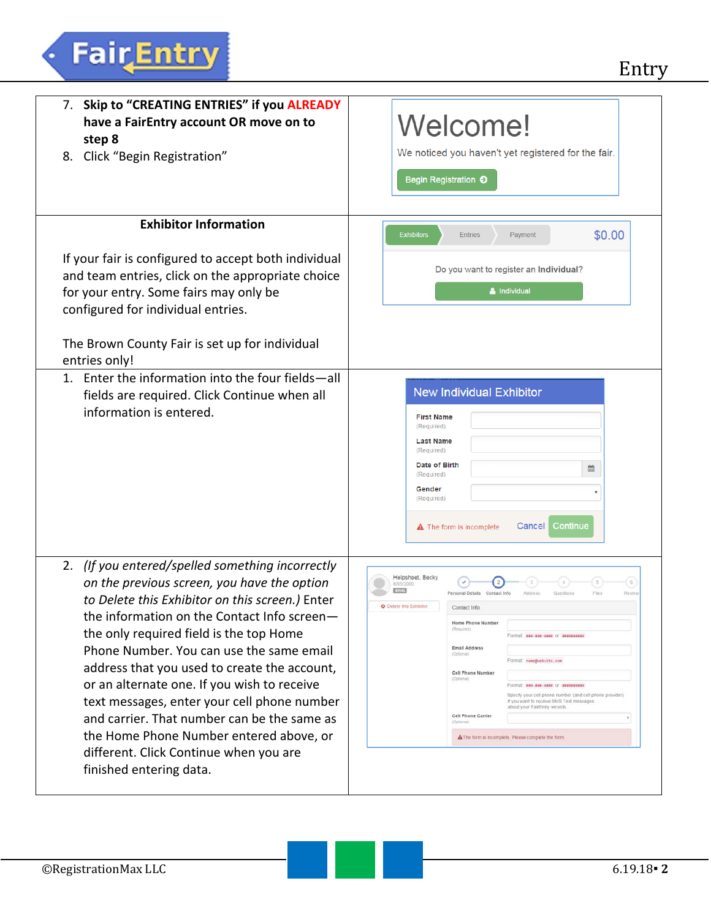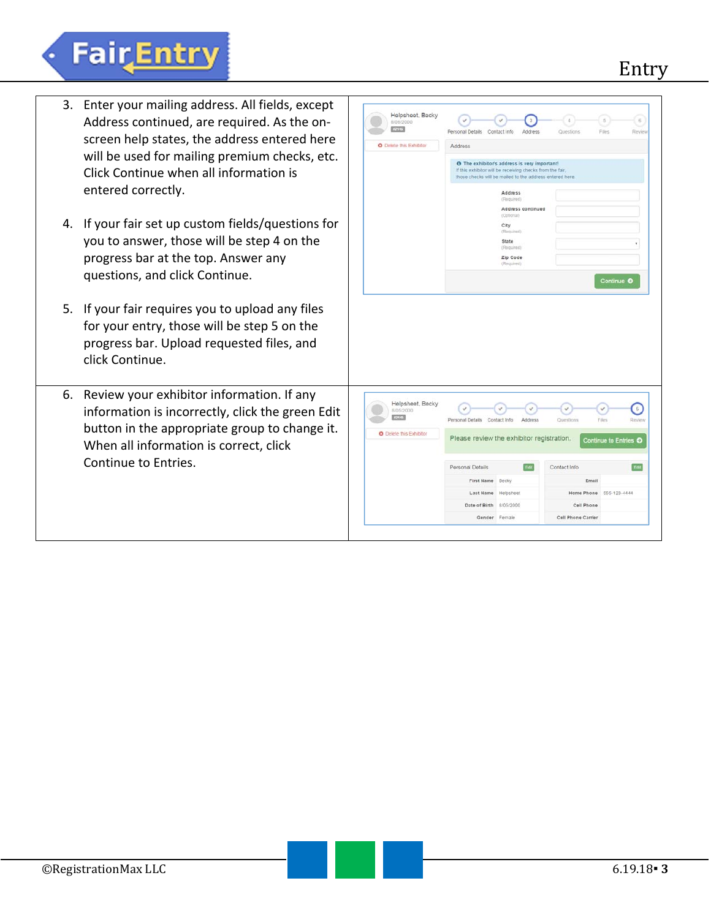## **Fair**Entry

- 3. Enter your mailing address. All fields, except Address continued, are required. As the on‐ screen help states, the address entered here will be used for mailing premium checks, etc. Click Continue when all information is entered correctly.
- 4. If your fair set up custom fields/questions for you to answer, those will be step 4 on the progress bar at the top. Answer any questions, and click Continue.
- 5. If your fair requires you to upload any files for your entry, those will be step 5 on the progress bar. Upload requested files, and click Continue.
- 6. Review your exhibitor information. If any information is incorrectly, click the green Edit button in the appropriate group to change it. When all information is correct, click Continue to Entries.

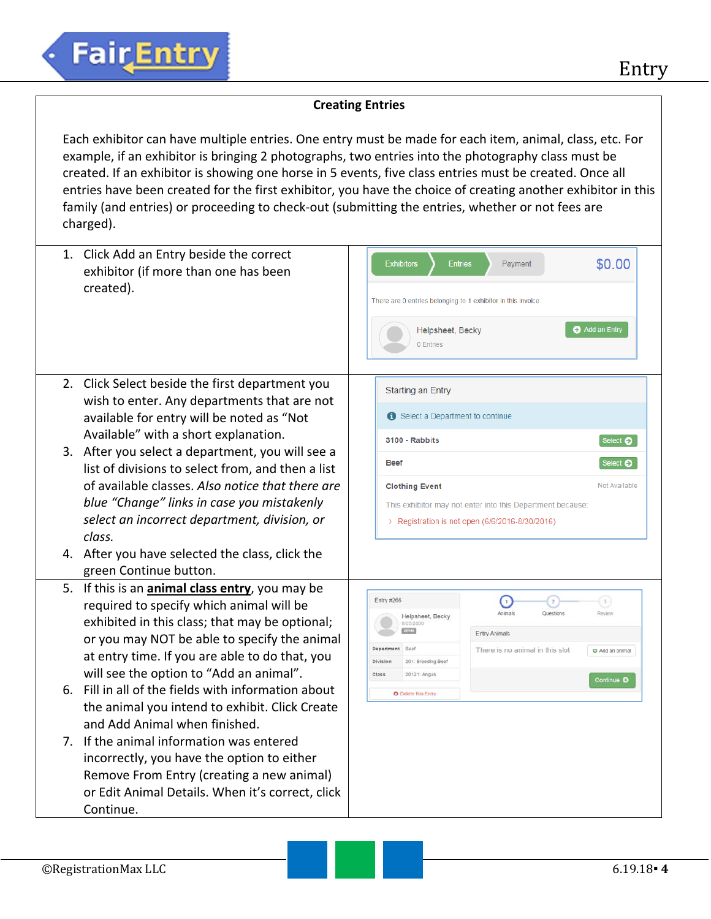## **Creating Entries**

Each exhibitor can have multiple entries. One entry must be made for each item, animal, class, etc. For example, if an exhibitor is bringing 2 photographs, two entries into the photography class must be created. If an exhibitor is showing one horse in 5 events, five class entries must be created. Once all entries have been created for the first exhibitor, you have the choice of creating another exhibitor in this family (and entries) or proceeding to check-out (submitting the entries, whether or not fees are charged).

| 1. Click Add an Entry beside the correct<br>exhibitor (if more than one has been<br>created).                                                                                       | <b>Exhibitors</b><br>\$0.00<br><b>Entries</b><br>Payment<br>There are 0 entries belonging to 1 exhibitor in this invoice.<br>Add an Entry<br>Helpsheet, Becky<br>0 Entries |
|-------------------------------------------------------------------------------------------------------------------------------------------------------------------------------------|----------------------------------------------------------------------------------------------------------------------------------------------------------------------------|
| 2. Click Select beside the first department you<br>wish to enter. Any departments that are not<br>available for entry will be noted as "Not<br>Available" with a short explanation. | <b>Starting an Entry</b><br>Select a Department to continue                                                                                                                |
| 3. After you select a department, you will see a                                                                                                                                    | 3100 - Rabbits<br>Select $\bullet$                                                                                                                                         |
| list of divisions to select from, and then a list<br>of available classes. Also notice that there are                                                                               | Select $\bullet$<br><b>Beef</b><br>Not Available                                                                                                                           |
| blue "Change" links in case you mistakenly                                                                                                                                          | <b>Clothing Event</b><br>This exhibitor may not enter into this Department because:                                                                                        |
| select an incorrect department, division, or                                                                                                                                        | > Registration is not open (6/6/2016-8/30/2016)                                                                                                                            |
| class.                                                                                                                                                                              |                                                                                                                                                                            |
| 4. After you have selected the class, click the<br>green Continue button.                                                                                                           |                                                                                                                                                                            |
| 5. If this is an <i>animal class entry</i> , you may be                                                                                                                             | Entry #266<br>$\begin{bmatrix} 3 \end{bmatrix}$<br>$\overline{2}$                                                                                                          |
| required to specify which animal will be                                                                                                                                            | $\vert$ 1<br>Animals<br>Questions<br>Review<br>Helpsheet, Becky                                                                                                            |
| exhibited in this class; that may be optional;<br>or you may NOT be able to specify the animal                                                                                      | 8/05/2000<br><b>Entry Animals</b>                                                                                                                                          |
| at entry time. If you are able to do that, you                                                                                                                                      | Department<br>Beef<br>There is no animal in this slot<br>O Add an animal<br>Division<br>201: Breeding Beef                                                                 |
| will see the option to "Add an animal".                                                                                                                                             | Class<br>20121: Angus<br>Continue O                                                                                                                                        |
| 6. Fill in all of the fields with information about                                                                                                                                 | <b>O</b> Delete this Entry                                                                                                                                                 |
| the animal you intend to exhibit. Click Create                                                                                                                                      |                                                                                                                                                                            |
| and Add Animal when finished.<br>7. If the animal information was entered                                                                                                           |                                                                                                                                                                            |
| incorrectly, you have the option to either                                                                                                                                          |                                                                                                                                                                            |
| Remove From Entry (creating a new animal)                                                                                                                                           |                                                                                                                                                                            |
| or Edit Animal Details. When it's correct, click                                                                                                                                    |                                                                                                                                                                            |
| Continue.                                                                                                                                                                           |                                                                                                                                                                            |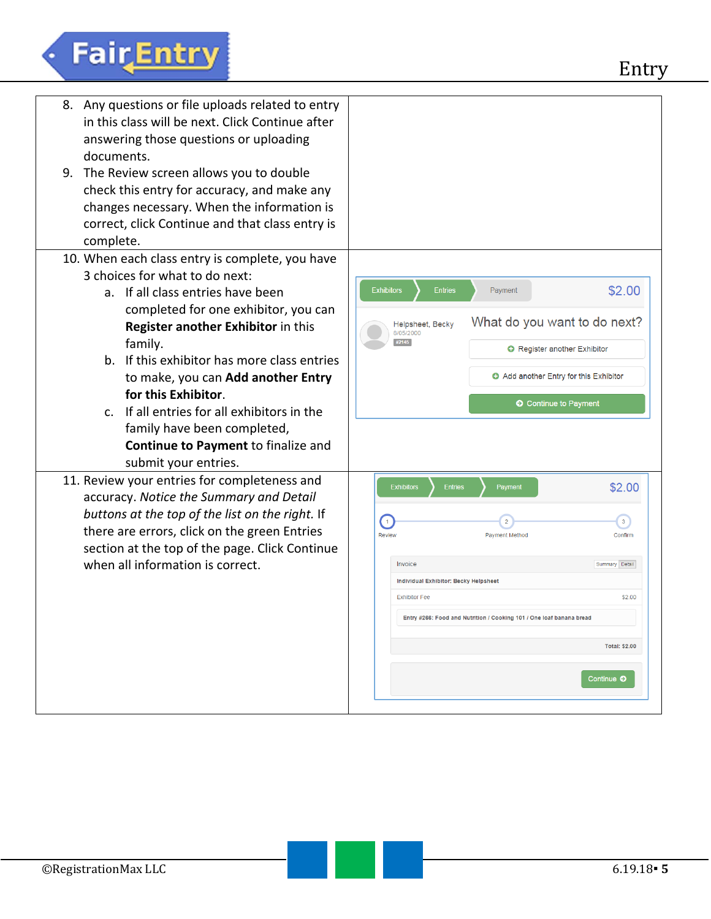## Fair Entry

| 8. Any questions or file uploads related to entry<br>in this class will be next. Click Continue after<br>answering those questions or uploading<br>documents.<br>9. The Review screen allows you to double<br>check this entry for accuracy, and make any<br>changes necessary. When the information is<br>correct, click Continue and that class entry is                                                                                                               |                                                                                                                                                                                                                                                                                                                                                                                                                         |
|--------------------------------------------------------------------------------------------------------------------------------------------------------------------------------------------------------------------------------------------------------------------------------------------------------------------------------------------------------------------------------------------------------------------------------------------------------------------------|-------------------------------------------------------------------------------------------------------------------------------------------------------------------------------------------------------------------------------------------------------------------------------------------------------------------------------------------------------------------------------------------------------------------------|
| complete.                                                                                                                                                                                                                                                                                                                                                                                                                                                                |                                                                                                                                                                                                                                                                                                                                                                                                                         |
| 10. When each class entry is complete, you have<br>3 choices for what to do next:<br>a. If all class entries have been<br>completed for one exhibitor, you can<br>Register another Exhibitor in this<br>family.<br>b. If this exhibitor has more class entries<br>to make, you can Add another Entry<br>for this Exhibitor.<br>c. If all entries for all exhibitors in the<br>family have been completed,<br>Continue to Payment to finalize and<br>submit your entries. | <b>Exhibitors</b><br>\$2.00<br><b>Entries</b><br>Payment<br>What do you want to do next?<br>Helpsheet, Becky<br>8/05/2000<br>#2145<br>Register another Exhibitor<br>Add another Entry for this Exhibitor<br><b>O</b> Continue to Payment                                                                                                                                                                                |
| 11. Review your entries for completeness and<br>accuracy. Notice the Summary and Detail<br>buttons at the top of the list on the right. If<br>there are errors, click on the green Entries<br>section at the top of the page. Click Continue<br>when all information is correct.                                                                                                                                                                                         | \$2.00<br><b>Exhibitors</b><br><b>Entries</b><br>Payment<br>$\left( \begin{matrix} 1 \\ 1 \end{matrix} \right)$<br>3 <sup>°</sup><br>$\overline{2}$<br><b>Review</b><br>Payment Method<br>Confirm<br>Invoice<br>Summary Detail<br>Individual Exhibitor: Becky Helpsheet<br><b>Exhibitor Fee</b><br>\$2.00<br>Entry #266: Food and Nutrition / Cooking 101 / One loaf banana bread<br><b>Total: \$2.00</b><br>Continue O |